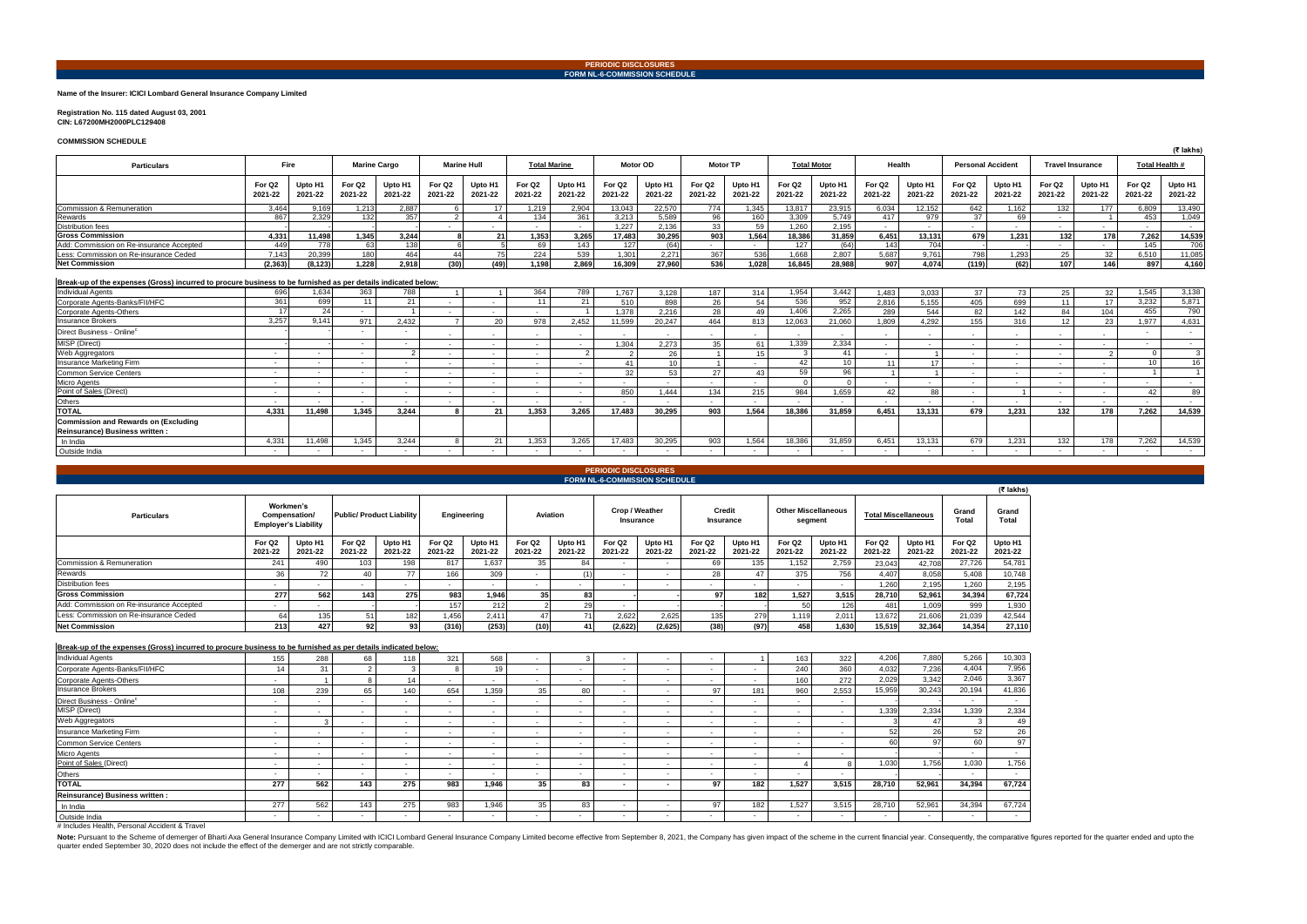# **Name of the Insurer: ICICI Lombard General Insurance Company Limited**

### **Registration No. 115 dated August 03, 2001 CIN: L67200MH2000PLC129408**

**COMMISSION SCHEDULE**

| Grand<br>Total     |
|--------------------|
| Upto H1<br>2021-22 |
| 54,781             |
| 10,748             |
| 2,195              |
| 67,724             |
| 1,930              |
| 42.544             |
| 27,110             |

| 41,836 |
|--------|
| 2,334  |
| 49     |
| 26     |
| 97     |
|        |
| 1,756  |
|        |
|        |
| 67,724 |
|        |
| 67,724 |
|        |

|                                                                                                               |                                                                                 |                          |                   |                                    |                               |                    |                               |                    |                               |                          |                               |                         |                               |                    |                               |                    |                               |                   |                               |                    |                               | (₹ lakhs)          |
|---------------------------------------------------------------------------------------------------------------|---------------------------------------------------------------------------------|--------------------------|-------------------|------------------------------------|-------------------------------|--------------------|-------------------------------|--------------------|-------------------------------|--------------------------|-------------------------------|-------------------------|-------------------------------|--------------------|-------------------------------|--------------------|-------------------------------|-------------------|-------------------------------|--------------------|-------------------------------|--------------------|
| <b>Particulars</b>                                                                                            | <b>Fire</b><br><b>Marine Cargo</b><br><b>Total Marine</b><br><b>Marine Hull</b> |                          |                   | <b>Motor TP</b><br><b>Motor OD</b> |                               | <b>Total Motor</b> |                               | Health             |                               | <b>Personal Accident</b> |                               | <b>Travel Insurance</b> |                               | Total Health #     |                               |                    |                               |                   |                               |                    |                               |                    |
|                                                                                                               | For Q <sub>2</sub><br>2021-22                                                   | Upto H1<br>2021-22       | For Q2<br>2021-22 | Upto H <sup>*</sup><br>2021-22     | For Q <sub>2</sub><br>2021-22 | Upto H1<br>2021-22 | For Q <sub>2</sub><br>2021-22 | Upto H1<br>2021-22 | For Q <sub>2</sub><br>2021-22 | Upto H1<br>2021-22       | For Q <sub>2</sub><br>2021-22 | Upto H1<br>2021-22      | For Q <sub>2</sub><br>2021-22 | Upto H1<br>2021-22 | For Q <sub>2</sub><br>2021-22 | Upto H1<br>2021-22 | For Q <sub>2</sub><br>2021-22 | Upto H<br>2021-22 | For Q <sub>2</sub><br>2021-22 | Upto H1<br>2021-22 | For Q <sub>2</sub><br>2021-22 | Upto H1<br>2021-22 |
| Commission & Remuneration                                                                                     | 3.464                                                                           | 9,169                    | 1,213             | 2.887                              | - 6                           | 17                 | 1,219                         | 2,904              | 13,043                        | 22.570                   | 774                           | 1,345                   | 13,817                        | 23,915             | 6,034                         | 12.152             | 642                           | 1.162             | 132                           | 177                | 6.809                         | 13,490             |
| Rewards                                                                                                       | 867                                                                             | 2,329                    | 132               | 357                                | $\overline{2}$                |                    | 134                           | 361                | 3,213                         | 5,589                    | 96                            | 160                     | 3,309                         | 5,749              | 417                           | 979                | 37                            | 69                | $\sim$                        |                    | 453                           | 1,049              |
| <b>Distribution fees</b>                                                                                      |                                                                                 |                          |                   |                                    | $\sim$                        | $\sim$             | $\sim$                        | $\sim$ $-$         | 1.227                         | 2.136                    | 33                            | 59                      | 1,260                         | 2.195              | $\sim$ $-$                    | $\sim$             | $\sim$ 100 $\mu$              |                   | $\sim$                        | $\sim$             | $\sim$                        | $\sim$             |
| <b>Gross Commission</b>                                                                                       | 4.331                                                                           | 11,498                   | 1.345             | 3.244                              |                               | 21                 | 1,353                         | 3,265              | 17,483                        | 30,295                   | 903                           | 1,564                   | 18,386                        | 31,859             | 6.451                         | 13.131             | 679                           | 1.231             | 132                           | 178                | 7,262                         | 14,539             |
| Add: Commission on Re-insurance Accepted                                                                      | 449                                                                             | 778                      | 63                | 138                                |                               |                    | 69                            | 143                | 127                           | (64)                     |                               | $\sim$                  | 127                           | (64)               | 143                           | 704                |                               |                   | $\sim$                        | $\sim$             | 145                           | 706                |
| Less: Commission on Re-insurance Ceded                                                                        | 7.143                                                                           | 20,399                   | 180               | 464                                | 44                            | 75                 | 224                           | 539                | 1.301                         | 2.271                    | 367                           | 536                     | 1,668                         | 2.807              | 5.687                         | 9.761              | 798                           | 1.293             | 25                            | 32                 | 6.510                         | 11,085             |
| <b>Net Commission</b>                                                                                         | (2, 363)                                                                        | (8, 123)                 | 1.228             | 2.918                              | (30)                          | (49)               | 1,198                         | 2.869              | 16.309                        | 27,960                   | 536                           | 1,028                   | 16,845                        | 28,988             | 907                           | 4.074              | (119)                         | (62)              | 107                           | 146                | 897                           | 4,160              |
| Break-up of the expenses (Gross) incurred to procure business to be furnished as per details indicated below: |                                                                                 |                          |                   |                                    |                               |                    |                               |                    |                               |                          |                               |                         |                               |                    |                               |                    |                               |                   |                               |                    |                               |                    |
| <b>Individual Agents</b>                                                                                      | 696                                                                             | 1,634                    | 363               | 788                                |                               |                    | 364                           | 789                | ,767                          | 3.128                    | 187                           | 314                     | 1,954                         | 3.442              | 1.483                         | 3,033              | 37                            | 73                | 25                            | 32                 | 1.545                         | 3,138              |
| Corporate Agents-Banks/FII/HFC                                                                                | 361                                                                             | 699                      | 11                | 21                                 | $\overline{\phantom{a}}$      | $\sim$             | 11                            | 21                 | 510                           | 898                      | 26                            | 54                      | 536                           | 952                | 2.816                         | 5.155              | 405                           | 699               | 11                            | 17                 | 3.232                         | 5,871              |
| Corporate Agents-Others                                                                                       | 17                                                                              | 24                       | $\sim$            |                                    |                               | $\sim$             | $\sim$                        |                    | 1.378                         | 2.216                    | 28                            | 49                      | 1,406                         | 2,265              | 289                           | 544                | 82                            | 142               | 84                            | 104                | 455                           | 790                |
| <b>Insurance Brokers</b>                                                                                      | 3,257                                                                           | 9.141                    | 971               | 2.432                              |                               | 20 <sup>°</sup>    | 978                           | 2,452              | 11.599                        | 20.247                   | 464                           | 813                     | 12.063                        | 21.060             | 1.809                         | 4.292              | 155                           | 316               | 12 <sup>°</sup>               | 23                 | 1.977                         | 4,631              |
| Direct Business - Online                                                                                      |                                                                                 |                          | $\sim$            |                                    | $\sim$                        | $\sim$             | $\sim$                        | $\sim$             | $\sim$                        | $\sim$                   | $\sim$                        | $\sim$                  | $\sim$                        | $\sim$             | $\sim$                        | $\sim$             | $\sim$                        | $\sim$            | $\sim$                        | $\sim$             |                               | $\sim$             |
| MISP (Direct)                                                                                                 |                                                                                 |                          | $\sim$            | $\sim$                             | $\overline{\phantom{a}}$      | $\sim$             | $\sim$                        | $\sim$             | .304                          | 2.273                    | 35                            | 61                      | 1,339                         | 2,334              | $\sim$                        | $\sim$             | $\sim$                        | $\sim$            | $\overline{\phantom{a}}$      | $\sim$             | $\sim$                        | $\sim$             |
| Web Aggregators                                                                                               | $\sim$                                                                          | $\sim$                   | $\sim$            | $\Omega$                           |                               | $\sim$             | $\sim$                        | $\overline{2}$     | $\overline{2}$                | 26                       |                               | 15                      |                               | 41                 | $\sim$                        |                    |                               |                   | $\sim$                        |                    | $\Omega$                      |                    |
| Insurance Marketing Firm                                                                                      | $\sim$                                                                          | $\sim$                   | $\sim$            |                                    | $\sim$                        | $\sim$             | $\sim$                        | $\sim$             | 41                            | 10                       |                               |                         | 42                            | 10                 | 11                            | 17                 | $\sim$                        |                   | $\overline{\phantom{a}}$      | $\sim$             | 10 <sup>°</sup>               | 16                 |
| <b>Common Service Centers</b>                                                                                 | $\sim$                                                                          | $\sim$                   | $\sim$            |                                    | $\overline{\phantom{a}}$      | $\sim$             | $\sim$                        | $\sim$             | 32                            | 53                       | 27                            | 43                      | 59                            | 96                 | $\overline{1}$                |                    | $\sim$                        | $\sim$            | $\sim$                        | $\sim$             | $\overline{1}$                |                    |
| <b>Micro Agents</b>                                                                                           | $\sim$                                                                          | $\overline{\phantom{a}}$ | $\sim$            |                                    |                               | $\sim$             | $\sim$                        | $\sim$             |                               | $\sim$                   |                               |                         |                               | $\sqrt{ }$         |                               | $\sim$             |                               |                   | $\overline{\phantom{a}}$      | $\sim$             | $\sim$                        | $\sim$             |
| Point of Sales (Direct)                                                                                       | $\sim$                                                                          | $\sim$                   | $\sim$            |                                    | $\overline{\phantom{a}}$      | $\sim$             | $\sim$                        | $\sim$             | 850                           | 1.444                    | 134                           | 215                     | 984                           | 1,659              | 42                            | 88                 | $\sim$                        |                   | $\overline{\phantom{a}}$      | $\sim$             | 42                            | 89                 |
| Others                                                                                                        | $\sim$                                                                          | $\sim$                   | $\sim$            |                                    |                               | $\sim$             | $\sim$                        | $\sim$             | $\sim$                        | $\sim$                   |                               |                         | $\sim$                        | $\sim$             | $\sim$                        | $\sim$             | $\sim$                        |                   | $\overline{\phantom{a}}$      | $\sim$             | $\sim$                        | $\sim$             |
| <b>TOTAL</b>                                                                                                  | 4.331                                                                           | 11.498                   | 1.345             | 3.244                              | -8                            | 21                 | 1,353                         | 3.265              | 17.483                        | 30.295                   | 903                           | 1.564                   | 18,386                        | 31.859             | 6.451                         | 13.131             | 679                           | 1.231             | 132                           | 178                | 7.262                         | 14,539             |
| Commission and Rewards on (Excluding                                                                          |                                                                                 |                          |                   |                                    |                               |                    |                               |                    |                               |                          |                               |                         |                               |                    |                               |                    |                               |                   |                               |                    |                               |                    |
| Reinsurance) Business written                                                                                 |                                                                                 |                          |                   |                                    |                               |                    |                               |                    |                               |                          |                               |                         |                               |                    |                               |                    |                               |                   |                               |                    |                               |                    |
| In India                                                                                                      | 4,331                                                                           | 11,498                   | 1,345             | 3.244                              | -8                            | 21                 | 1,353                         | 3,265              | 17,483                        | 30,295                   | 903                           | 1,564                   | 18,386                        | 31,859             | 6,451                         | 13,131             | 679                           | 1,231             | 132                           | 178                | 7,262                         | 14,539             |
| Outside India                                                                                                 | $\sim$                                                                          | $\sim$                   | $\sim$            |                                    |                               |                    | $\sim$                        | $\sim$             | $\sim$                        | $\sim$                   | $\sim$                        |                         | $\sim$ $-$                    | $\sim$             | $\sim$                        | $\sim$             | $\sim$ $-$                    |                   | $\sim$                        | $\sim$             | $\sim$                        | $\sim$             |

**Break-up of the expenses (Gross) incurred to procure business to be furnished as per details indicated below:**

|                                          |                                                           |                    |                               |                                 |                   |                    |                   |                    |                               |                    |                     |                    |                                       |                    |                               |                    |                   | (5.19113)          |
|------------------------------------------|-----------------------------------------------------------|--------------------|-------------------------------|---------------------------------|-------------------|--------------------|-------------------|--------------------|-------------------------------|--------------------|---------------------|--------------------|---------------------------------------|--------------------|-------------------------------|--------------------|-------------------|--------------------|
| <b>Particulars</b>                       | Workmen's<br>Compensation/<br><b>Employer's Liability</b> |                    |                               | <b>Public/Product Liability</b> | Engineering       |                    | <b>Aviation</b>   |                    | Crop / Weather<br>Insurance   |                    | Credit<br>Insurance |                    | <b>Other Miscellaneous</b><br>segment |                    | <b>Total Miscellaneous</b>    |                    | Grand<br>Total    | Grand<br>Total     |
|                                          | For Q <sub>2</sub><br>2021-22                             | Upto H1<br>2021-22 | For Q <sub>2</sub><br>2021-22 | Upto H1<br>2021-22              | For Q2<br>2021-22 | Upto H1<br>2021-22 | For Q2<br>2021-22 | Upto H1<br>2021-22 | For Q <sub>2</sub><br>2021-22 | Upto H1<br>2021-22 | For Q2<br>2021-22   | Upto H1<br>2021-22 | For Q <sub>2</sub><br>2021-22         | Upto H1<br>2021-22 | For Q <sub>2</sub><br>2021-22 | Upto H1<br>2021-22 | For Q2<br>2021-22 | Upto H1<br>2021-22 |
| Commission & Remuneration                | 241                                                       | 490                | 103                           | 198                             | 817               | 1.637              | 35                | 84                 |                               |                    | 69                  | 135                | 1.152                                 | 2,759              | 23,043                        | 42.708             | 27,726            | 54,781             |
| Rewards                                  | 36                                                        | 72                 |                               | 77                              | 166               | 309                |                   |                    |                               |                    | 28                  |                    | 375                                   | 756                | 4,407                         | 8.058              | 5.408             | 10,748             |
| <b>Distribution fees</b>                 |                                                           |                    | . .                           |                                 | $\sim$            |                    |                   |                    |                               |                    |                     |                    |                                       | . .                | 1,260                         | 2,195              | 1,260             | 2,195              |
| <b>Gross Commission</b>                  | 277                                                       | 562                | 143                           | 275                             | 983               | 1,946              | 35                | 83                 |                               |                    |                     | 182                | 1.527                                 | 3,515              | 28.710                        | 52.961             | 34,394            | 67,724             |
| Add: Commission on Re-insurance Accepted |                                                           |                    |                               |                                 | 157               | 212                |                   | 29                 |                               |                    |                     |                    |                                       | 126                | 481                           | 1,009              | 999               | 1,930              |
| Less: Commission on Re-insurance Ceded   |                                                           | 135                |                               | 1821                            | 1,456             | 2.411              |                   |                    | 2.622                         | 2,625              | 135                 | 279                | 1.119                                 | 2,011              | 13,672                        | 21,606             | 21,039            | 42,544             |
| <b>Net Commission</b>                    | 213                                                       | 427                | 92                            | 93                              | (316)             | (253)              | (10)              | 41 I               | (2,622)                       | (2,625)            | (38)                | (97)               | 458                                   | 1,630              | 15,519                        | 32.364             | 14,354            | 27.110             |

| <b>Individual Agents</b>              | 155                      | 288                      | 68                       | 118    | 321                      | 568   |        |                          |     |     |                |     | 163   | 322    | 4,206  | 7,880           | 5,266  | 10,303 |
|---------------------------------------|--------------------------|--------------------------|--------------------------|--------|--------------------------|-------|--------|--------------------------|-----|-----|----------------|-----|-------|--------|--------|-----------------|--------|--------|
| Corporate Agents-Banks/FII/HFC        | 14                       | 31                       |                          |        |                          | 19    |        | . .                      |     |     | . .            |     | 240   | 360    | 4.032  | 7,236           | 4,404  | 7,956  |
| Corporate Agents-Others               |                          |                          |                          | 14     |                          |       | $\sim$ | .                        |     |     |                |     | 160   | 272    | 2,029  | 3,342           | 2,046  | 3,367  |
| <b>Insurance Brokers</b>              | 108                      | 239                      | 65                       | 140    | 654                      | 1.359 | 35     | 80                       |     |     | Q <sub>7</sub> | 181 | 960   | 2.553  | 15,959 | 30,243          | 20,194 | 41,836 |
| Direct Business - Online <sup>c</sup> |                          | $\sim$                   |                          |        | $\overline{\phantom{a}}$ |       |        | . .                      |     |     |                |     | . .   |        |        |                 |        |        |
| MISP (Direct)                         |                          | . .                      | $\overline{\phantom{a}}$ |        |                          |       |        | . .                      |     |     |                |     | . .   |        | 1,339  | 2,334           | 1,339  | 2,334  |
| Web Aggregators                       | $\sim$                   |                          | . .                      |        | $\overline{\phantom{a}}$ |       | . .    | $\sim$                   |     | . . |                |     | . .   | $\sim$ |        |                 |        | 49     |
| Insurance Marketing Firm              |                          | . .                      | . .                      |        |                          |       |        | $\overline{\phantom{a}}$ |     | . . |                |     | . .   |        | 52     | 26 <sub>1</sub> | 52     | 26     |
| Common Service Centers                |                          |                          |                          |        | $\overline{\phantom{a}}$ |       |        | $\overline{\phantom{a}}$ |     |     | . .            |     | . .   |        |        |                 |        | 97     |
| <b>Micro Agents</b>                   |                          | . .                      |                          |        |                          |       |        | $\overline{\phantom{a}}$ |     |     |                |     | . .   |        |        |                 |        |        |
| Point of Sales (Direct)               | $\overline{\phantom{a}}$ | $\overline{\phantom{a}}$ |                          |        | $\overline{\phantom{a}}$ |       |        | $\sim$                   |     |     | $\sim$         |     |       |        | 1,030  | 1,756           | 1,030  | 1,756  |
| Others                                |                          |                          |                          |        |                          |       |        | . .                      |     |     |                |     | . .   |        |        |                 | $\sim$ | . .    |
| <b>TOTAL</b>                          | 277                      | 562                      | 143                      | 275    | 983                      | 1,946 | 35     | 83                       |     |     | 97             | 182 | 1,527 | 3,515  | 28,710 | 52,961          | 34,394 | 67,724 |
| Reinsurance) Business written :       |                          |                          |                          |        |                          |       |        |                          |     |     |                |     |       |        |        |                 |        |        |
| In India                              | 277                      | 562                      | 143                      | 275    | 983                      | 1,946 | 35     | 83                       |     |     | 97             | 182 | 1,527 | 3,515  | 28,710 | 52,961          | 34,394 | 67,724 |
| Outside India                         |                          | . .                      | . .                      | $\sim$ | $\sim$                   |       | . .    |                          | . . | . . |                |     |       | $\sim$ |        | $\sim$          | . .    |        |
|                                       |                          |                          |                          |        |                          |       |        |                          |     |     |                |     |       |        |        |                 |        |        |

# Includes Health, Personal Accident & Travel

Note: Pursuant to the Scheme of demerger of Bharti Axa General Insurance Company Limited with ICICI Lombard General Insurance Company Limited become effective from September 8, 2021, the Company has given impact of the sch quarter ended September 30, 2020 does not include the effect of the demerger and are not strictly comparable.

### **PERIODIC DISCLOSURES FORM NL-6-COMMISSION SCHEDULE**

## **PERIODIC DISCLOSURES FORM NL-6-COMMISSION SCHEDULE**